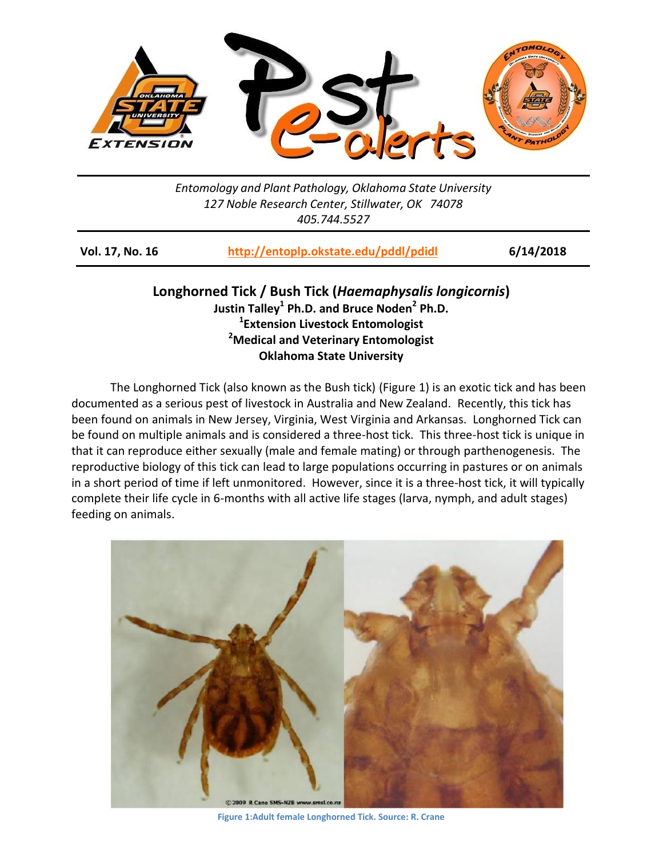

*Entomology and Plant Pathology, Oklahoma State University 127 Noble Research Center, Stillwater, OK 74078 405.744.5527*

**Vol. 17, No. 16 <http://entoplp.okstate.edu/pddl/pdidl> 6/14/2018**

**Longhorned Tick / Bush Tick (***Haemaphysalis longicornis***) Justin Talley<sup>1</sup> Ph.D. and Bruce Noden<sup>2</sup> Ph.D. 1 Extension Livestock Entomologist <sup>2</sup>Medical and Veterinary Entomologist Oklahoma State University**

The Longhorned Tick (also known as the Bush tick) (Figure 1) is an exotic tick and has been documented as a serious pest of livestock in Australia and New Zealand. Recently, this tick has been found on animals in New Jersey, Virginia, West Virginia and Arkansas. Longhorned Tick can be found on multiple animals and is considered a three-host tick. This three-host tick is unique in that it can reproduce either sexually (male and female mating) or through parthenogenesis. The reproductive biology of this tick can lead to large populations occurring in pastures or on animals in a short period of time if left unmonitored. However, since it is a three-host tick, it will typically complete their life cycle in 6-months with all active life stages (larva, nymph, and adult stages) feeding on animals.



**Figure 1:Adult female Longhorned Tick. Source: R. Crane**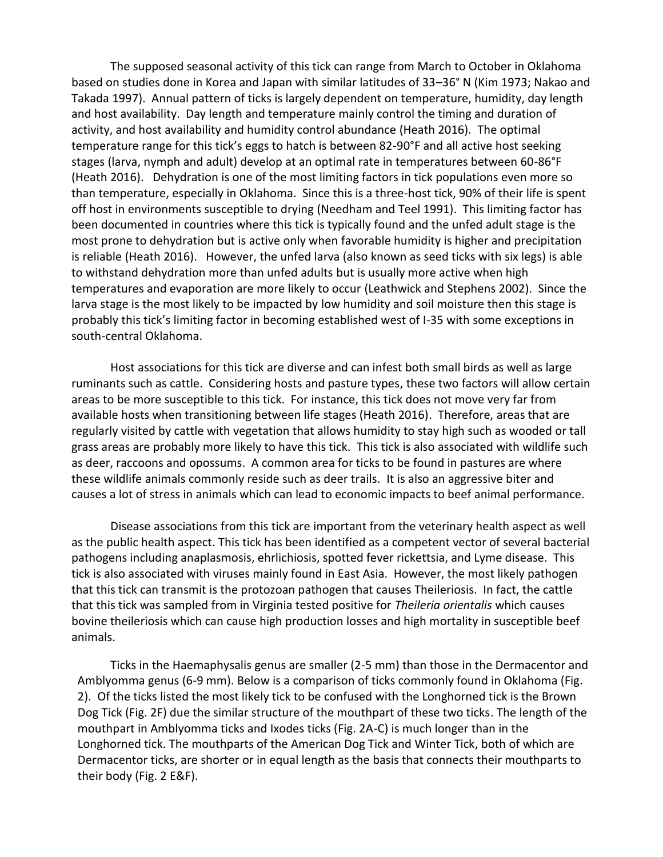The supposed seasonal activity of this tick can range from March to October in Oklahoma based on studies done in Korea and Japan with similar latitudes of 33–36° N (Kim 1973; Nakao and Takada 1997). Annual pattern of ticks is largely dependent on temperature, humidity, day length and host availability. Day length and temperature mainly control the timing and duration of activity, and host availability and humidity control abundance (Heath 2016). The optimal temperature range for this tick's eggs to hatch is between 82-90°F and all active host seeking stages (larva, nymph and adult) develop at an optimal rate in temperatures between 60-86°F (Heath 2016). Dehydration is one of the most limiting factors in tick populations even more so than temperature, especially in Oklahoma. Since this is a three-host tick, 90% of their life is spent off host in environments susceptible to drying (Needham and Teel 1991). This limiting factor has been documented in countries where this tick is typically found and the unfed adult stage is the most prone to dehydration but is active only when favorable humidity is higher and precipitation is reliable (Heath 2016). However, the unfed larva (also known as seed ticks with six legs) is able to withstand dehydration more than unfed adults but is usually more active when high temperatures and evaporation are more likely to occur (Leathwick and Stephens 2002). Since the larva stage is the most likely to be impacted by low humidity and soil moisture then this stage is probably this tick's limiting factor in becoming established west of I-35 with some exceptions in south-central Oklahoma.

Host associations for this tick are diverse and can infest both small birds as well as large ruminants such as cattle. Considering hosts and pasture types, these two factors will allow certain areas to be more susceptible to this tick. For instance, this tick does not move very far from available hosts when transitioning between life stages (Heath 2016). Therefore, areas that are regularly visited by cattle with vegetation that allows humidity to stay high such as wooded or tall grass areas are probably more likely to have this tick. This tick is also associated with wildlife such as deer, raccoons and opossums. A common area for ticks to be found in pastures are where these wildlife animals commonly reside such as deer trails. It is also an aggressive biter and causes a lot of stress in animals which can lead to economic impacts to beef animal performance.

Disease associations from this tick are important from the veterinary health aspect as well as the public health aspect. This tick has been identified as a competent vector of several bacterial pathogens including anaplasmosis, ehrlichiosis, spotted fever rickettsia, and Lyme disease. This tick is also associated with viruses mainly found in East Asia. However, the most likely pathogen that this tick can transmit is the protozoan pathogen that causes Theileriosis. In fact, the cattle that this tick was sampled from in Virginia tested positive for *Theileria orientalis* which causes bovine theileriosis which can cause high production losses and high mortality in susceptible beef animals.

Ticks in the Haemaphysalis genus are smaller (2-5 mm) than those in the Dermacentor and Amblyomma genus (6-9 mm). Below is a comparison of ticks commonly found in Oklahoma (Fig. 2). Of the ticks listed the most likely tick to be confused with the Longhorned tick is the Brown Dog Tick (Fig. 2F) due the similar structure of the mouthpart of these two ticks. The length of the mouthpart in Amblyomma ticks and Ixodes ticks (Fig. 2A-C) is much longer than in the Longhorned tick. The mouthparts of the American Dog Tick and Winter Tick, both of which are Dermacentor ticks, are shorter or in equal length as the basis that connects their mouthparts to their body (Fig. 2 E&F).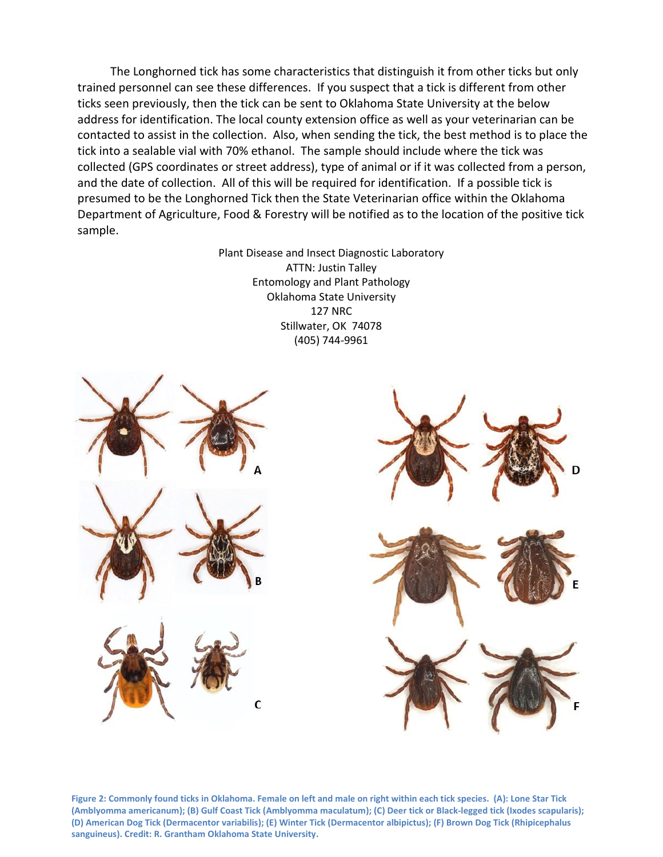The Longhorned tick has some characteristics that distinguish it from other ticks but only trained personnel can see these differences. If you suspect that a tick is different from other ticks seen previously, then the tick can be sent to Oklahoma State University at the below address for identification. The local county extension office as well as your veterinarian can be contacted to assist in the collection. Also, when sending the tick, the best method is to place the tick into a sealable vial with 70% ethanol. The sample should include where the tick was collected (GPS coordinates or street address), type of animal or if it was collected from a person, and the date of collection. All of this will be required for identification. If a possible tick is presumed to be the Longhorned Tick then the State Veterinarian office within the Oklahoma Department of Agriculture, Food & Forestry will be notified as to the location of the positive tick sample.

> Plant Disease and Insect Diagnostic Laboratory ATTN: Justin Talley Entomology and Plant Pathology Oklahoma State University 127 NRC Stillwater, OK 74078 (405) 744-9961



**Figure 2: Commonly found ticks in Oklahoma. Female on left and male on right within each tick species. (A): Lone Star Tick (Amblyomma americanum); (B) Gulf Coast Tick (Amblyomma maculatum); (C) Deer tick or Black-legged tick (Ixodes scapularis); (D) American Dog Tick (Dermacentor variabilis); (E) Winter Tick (Dermacentor albipictus); (F) Brown Dog Tick (Rhipicephalus sanguineus). Credit: R. Grantham Oklahoma State University.**